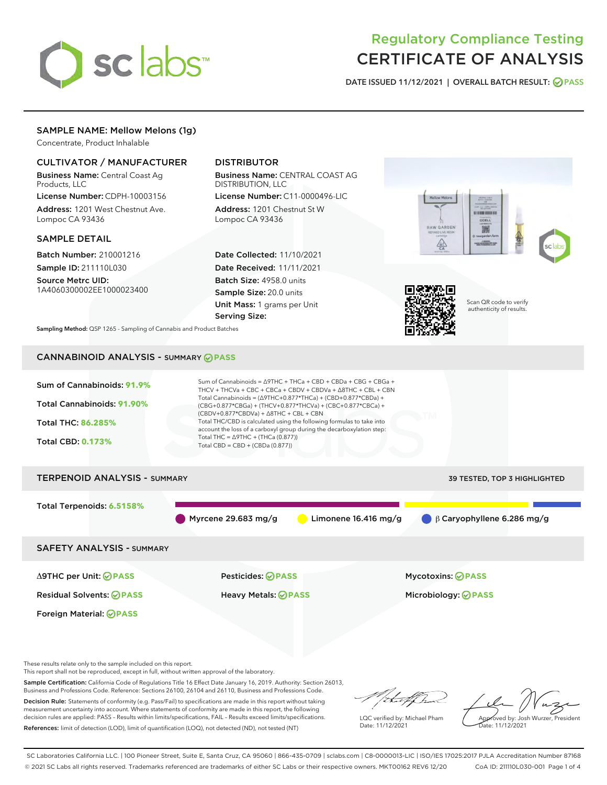

# Regulatory Compliance Testing CERTIFICATE OF ANALYSIS

DATE ISSUED 11/12/2021 | OVERALL BATCH RESULT: @ PASS

# SAMPLE NAME: Mellow Melons (1g)

Concentrate, Product Inhalable

# CULTIVATOR / MANUFACTURER

Business Name: Central Coast Ag Products, LLC

License Number: CDPH-10003156 Address: 1201 West Chestnut Ave. Lompoc CA 93436

#### SAMPLE DETAIL

Batch Number: 210001216 Sample ID: 211110L030

Source Metrc UID: 1A4060300002EE1000023400

# DISTRIBUTOR

Business Name: CENTRAL COAST AG DISTRIBUTION, LLC

License Number: C11-0000496-LIC Address: 1201 Chestnut St W Lompoc CA 93436

Date Collected: 11/10/2021 Date Received: 11/11/2021 Batch Size: 4958.0 units Sample Size: 20.0 units Unit Mass: 1 grams per Unit Serving Size:





Scan QR code to verify authenticity of results.

Sampling Method: QSP 1265 - Sampling of Cannabis and Product Batches

# CANNABINOID ANALYSIS - SUMMARY **PASS**



These results relate only to the sample included on this report.

This report shall not be reproduced, except in full, without written approval of the laboratory.

Sample Certification: California Code of Regulations Title 16 Effect Date January 16, 2019. Authority: Section 26013, Business and Professions Code. Reference: Sections 26100, 26104 and 26110, Business and Professions Code.

Decision Rule: Statements of conformity (e.g. Pass/Fail) to specifications are made in this report without taking measurement uncertainty into account. Where statements of conformity are made in this report, the following decision rules are applied: PASS – Results within limits/specifications, FAIL – Results exceed limits/specifications. References: limit of detection (LOD), limit of quantification (LOQ), not detected (ND), not tested (NT)

that f(ha

LQC verified by: Michael Pham Date: 11/12/2021

Approved by: Josh Wurzer, President ate: 11/12/2021

SC Laboratories California LLC. | 100 Pioneer Street, Suite E, Santa Cruz, CA 95060 | 866-435-0709 | sclabs.com | C8-0000013-LIC | ISO/IES 17025:2017 PJLA Accreditation Number 87168 © 2021 SC Labs all rights reserved. Trademarks referenced are trademarks of either SC Labs or their respective owners. MKT00162 REV6 12/20 CoA ID: 211110L030-001 Page 1 of 4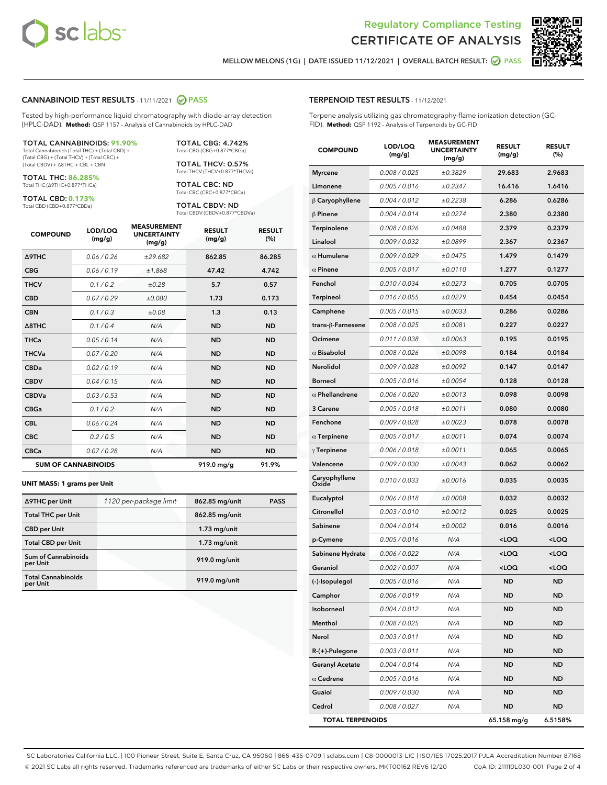



MELLOW MELONS (1G) | DATE ISSUED 11/12/2021 | OVERALL BATCH RESULT: **● PASS** 

#### CANNABINOID TEST RESULTS - 11/11/2021 2 PASS

Tested by high-performance liquid chromatography with diode-array detection (HPLC-DAD). **Method:** QSP 1157 - Analysis of Cannabinoids by HPLC-DAD

#### TOTAL CANNABINOIDS: **91.90%**

Total Cannabinoids (Total THC) + (Total CBD) + (Total CBG) + (Total THCV) + (Total CBC) + (Total CBDV) + ∆8THC + CBL + CBN

TOTAL THC: **86.285%** Total THC (∆9THC+0.877\*THCa)

TOTAL CBD: **0.173%**

Total CBD (CBD+0.877\*CBDa)

TOTAL CBG: 4.742% Total CBG (CBG+0.877\*CBGa)

TOTAL THCV: 0.57% Total THCV (THCV+0.877\*THCVa)

TOTAL CBC: ND Total CBC (CBC+0.877\*CBCa)

TOTAL CBDV: ND Total CBDV (CBDV+0.877\*CBDVa)

| <b>COMPOUND</b>  | LOD/LOQ<br>(mg/g)          | <b>MEASUREMENT</b><br><b>UNCERTAINTY</b><br>(mg/g) | <b>RESULT</b><br>(mg/g) | <b>RESULT</b><br>(%) |
|------------------|----------------------------|----------------------------------------------------|-------------------------|----------------------|
| <b>A9THC</b>     | 0.06 / 0.26                | ±29.682                                            | 862.85                  | 86.285               |
| <b>CBG</b>       | 0.06/0.19                  | ±1.868                                             | 47.42                   | 4.742                |
| <b>THCV</b>      | 0.1 / 0.2                  | ±0.28                                              | 5.7                     | 0.57                 |
| <b>CBD</b>       | 0.07/0.29                  | ±0.080                                             | 1.73                    | 0.173                |
| <b>CBN</b>       | 0.1 / 0.3                  | ±0.08                                              | 1.3                     | 0.13                 |
| $\triangle$ 8THC | 0.1 / 0.4                  | N/A                                                | <b>ND</b>               | <b>ND</b>            |
| <b>THCa</b>      | 0.05/0.14                  | N/A                                                | <b>ND</b>               | <b>ND</b>            |
| <b>THCVa</b>     | 0.07/0.20                  | N/A                                                | <b>ND</b>               | <b>ND</b>            |
| <b>CBDa</b>      | 0.02/0.19                  | N/A                                                | <b>ND</b>               | <b>ND</b>            |
| <b>CBDV</b>      | 0.04/0.15                  | N/A                                                | <b>ND</b>               | <b>ND</b>            |
| <b>CBDVa</b>     | 0.03/0.53                  | N/A                                                | <b>ND</b>               | <b>ND</b>            |
| <b>CBGa</b>      | 0.1/0.2                    | N/A                                                | <b>ND</b>               | <b>ND</b>            |
| <b>CBL</b>       | 0.06 / 0.24                | N/A                                                | <b>ND</b>               | <b>ND</b>            |
| <b>CBC</b>       | 0.2 / 0.5                  | N/A                                                | <b>ND</b>               | <b>ND</b>            |
| <b>CBCa</b>      | 0.07 / 0.28                | N/A                                                | <b>ND</b>               | <b>ND</b>            |
|                  | <b>SUM OF CANNABINOIDS</b> |                                                    | 919.0 mg/g              | 91.9%                |

#### **UNIT MASS: 1 grams per Unit**

| ∆9THC per Unit                        | 1120 per-package limit | 862.85 mg/unit | <b>PASS</b> |
|---------------------------------------|------------------------|----------------|-------------|
| <b>Total THC per Unit</b>             |                        | 862.85 mg/unit |             |
| <b>CBD</b> per Unit                   |                        | $1.73$ mg/unit |             |
| <b>Total CBD per Unit</b>             |                        | $1.73$ mg/unit |             |
| Sum of Cannabinoids<br>per Unit       |                        | 919.0 mg/unit  |             |
| <b>Total Cannabinoids</b><br>per Unit |                        | 919.0 mg/unit  |             |

# TERPENOID TEST RESULTS - 11/12/2021

Terpene analysis utilizing gas chromatography-flame ionization detection (GC-FID). **Method:** QSP 1192 - Analysis of Terpenoids by GC-FID

| <b>COMPOUND</b>         | LOD/LOQ<br>(mg/g) | <b>MEASUREMENT</b><br><b>UNCERTAINTY</b><br>(mg/g) | <b>RESULT</b><br>(mg/g)                         | <b>RESULT</b><br>(%) |
|-------------------------|-------------------|----------------------------------------------------|-------------------------------------------------|----------------------|
| <b>Myrcene</b>          | 0.008 / 0.025     | ±0.3829                                            | 29.683                                          | 2.9683               |
| Limonene                | 0.005 / 0.016     | ±0.2347                                            | 16.416                                          | 1.6416               |
| $\beta$ Caryophyllene   | 0.004 / 0.012     | ±0.2238                                            | 6.286                                           | 0.6286               |
| $\beta$ Pinene          | 0.004 / 0.014     | ±0.0274                                            | 2.380                                           | 0.2380               |
| Terpinolene             | 0.008 / 0.026     | ±0.0488                                            | 2.379                                           | 0.2379               |
| Linalool                | 0.009/0.032       | ±0.0899                                            | 2.367                                           | 0.2367               |
| $\alpha$ Humulene       | 0.009/0.029       | ±0.0475                                            | 1.479                                           | 0.1479               |
| $\alpha$ Pinene         | 0.005 / 0.017     | ±0.0110                                            | 1.277                                           | 0.1277               |
| Fenchol                 | 0.010 / 0.034     | ±0.0273                                            | 0.705                                           | 0.0705               |
| <b>Terpineol</b>        | 0.016 / 0.055     | ±0.0279                                            | 0.454                                           | 0.0454               |
| Camphene                | 0.005 / 0.015     | ±0.0033                                            | 0.286                                           | 0.0286               |
| trans-ß-Farnesene       | 0.008 / 0.025     | ±0.0081                                            | 0.227                                           | 0.0227               |
| Ocimene                 | 0.011 / 0.038     | ±0.0063                                            | 0.195                                           | 0.0195               |
| $\alpha$ Bisabolol      | 0.008 / 0.026     | ±0.0098                                            | 0.184                                           | 0.0184               |
| <b>Nerolidol</b>        | 0.009 / 0.028     | ±0.0092                                            | 0.147                                           | 0.0147               |
| <b>Borneol</b>          | 0.005 / 0.016     | ±0.0054                                            | 0.128                                           | 0.0128               |
| $\alpha$ Phellandrene   | 0.006 / 0.020     | ±0.0013                                            | 0.098                                           | 0.0098               |
| 3 Carene                | 0.005 / 0.018     | ±0.0011                                            | 0.080                                           | 0.0080               |
| Fenchone                | 0.009 / 0.028     | ±0.0023                                            | 0.078                                           | 0.0078               |
| $\alpha$ Terpinene      | 0.005 / 0.017     | ±0.0011                                            | 0.074                                           | 0.0074               |
| $\gamma$ Terpinene      | 0.006 / 0.018     | ±0.0011                                            | 0.065                                           | 0.0065               |
| Valencene               | 0.009 / 0.030     | ±0.0043                                            | 0.062                                           | 0.0062               |
| Caryophyllene<br>Oxide  | 0.010 / 0.033     | ±0.0016                                            | 0.035                                           | 0.0035               |
| Eucalyptol              | 0.006 / 0.018     | ±0.0008                                            | 0.032                                           | 0.0032               |
| Citronellol             | 0.003 / 0.010     | ±0.0012                                            | 0.025                                           | 0.0025               |
| Sabinene                | 0.004 / 0.014     | ±0.0002                                            | 0.016                                           | 0.0016               |
| p-Cymene                | 0.005 / 0.016     | N/A                                                | <loq< th=""><th><loq< th=""></loq<></th></loq<> | <loq< th=""></loq<>  |
| Sabinene Hydrate        | 0.006 / 0.022     | N/A                                                | <loq< th=""><th><loq< th=""></loq<></th></loq<> | <loq< th=""></loq<>  |
| Geraniol                | 0.002 / 0.007     | N/A                                                | <loq< th=""><th><loq< th=""></loq<></th></loq<> | <loq< th=""></loq<>  |
| (-)-Isopulegol          | 0.005 / 0.016     | N/A                                                | <b>ND</b>                                       | ND.                  |
| Camphor                 | 0.006 / 0.019     | N/A                                                | ND                                              | ND                   |
| Isoborneol              | 0.004 / 0.012     | N/A                                                | ND                                              | ND                   |
| Menthol                 | 0.008 / 0.025     | N/A                                                | <b>ND</b>                                       | ND                   |
| Nerol                   | 0.003 / 0.011     | N/A                                                | <b>ND</b>                                       | <b>ND</b>            |
| R-(+)-Pulegone          | 0.003 / 0.011     | N/A                                                | ND                                              | ND                   |
| <b>Geranyl Acetate</b>  | 0.004 / 0.014     | N/A                                                | ND                                              | ND                   |
| $\alpha$ Cedrene        | 0.005 / 0.016     | N/A                                                | <b>ND</b>                                       | ND                   |
| Guaiol                  | 0.009 / 0.030     | N/A                                                | ND                                              | ND                   |
| Cedrol                  | 0.008 / 0.027     | N/A                                                | ND                                              | ND                   |
| <b>TOTAL TERPENOIDS</b> |                   |                                                    | 65.158 mg/g                                     | 6.5158%              |

SC Laboratories California LLC. | 100 Pioneer Street, Suite E, Santa Cruz, CA 95060 | 866-435-0709 | sclabs.com | C8-0000013-LIC | ISO/IES 17025:2017 PJLA Accreditation Number 87168 © 2021 SC Labs all rights reserved. Trademarks referenced are trademarks of either SC Labs or their respective owners. MKT00162 REV6 12/20 CoA ID: 211110L030-001 Page 2 of 4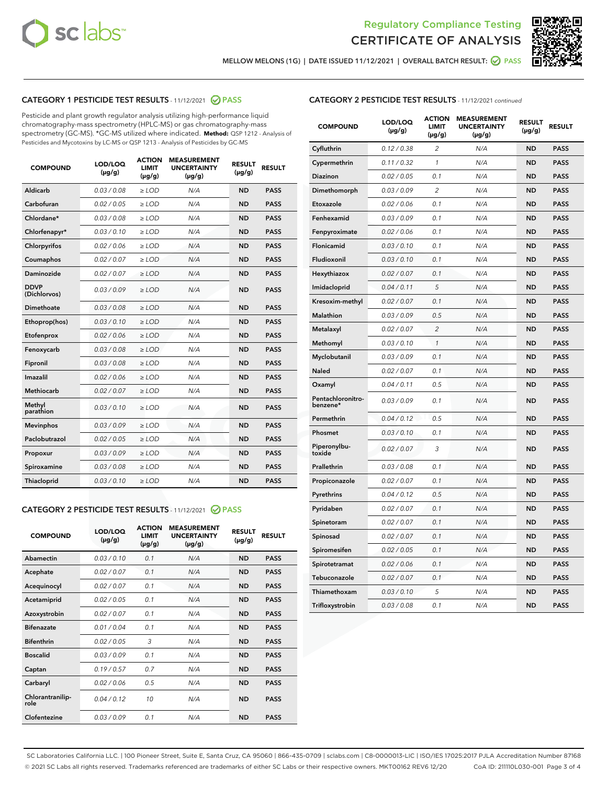



MELLOW MELONS (1G) | DATE ISSUED 11/12/2021 | OVERALL BATCH RESULT: ☑ PASS

# CATEGORY 1 PESTICIDE TEST RESULTS - 11/12/2021 2 PASS

Pesticide and plant growth regulator analysis utilizing high-performance liquid chromatography-mass spectrometry (HPLC-MS) or gas chromatography-mass spectrometry (GC-MS). \*GC-MS utilized where indicated. **Method:** QSP 1212 - Analysis of Pesticides and Mycotoxins by LC-MS or QSP 1213 - Analysis of Pesticides by GC-MS

| <b>COMPOUND</b>             | LOD/LOQ<br>$(\mu g/g)$ | <b>ACTION</b><br><b>LIMIT</b><br>$(\mu g/g)$ | <b>MEASUREMENT</b><br><b>UNCERTAINTY</b><br>$(\mu g/g)$ | <b>RESULT</b><br>$(\mu g/g)$ | <b>RESULT</b> |
|-----------------------------|------------------------|----------------------------------------------|---------------------------------------------------------|------------------------------|---------------|
| Aldicarb                    | 0.03 / 0.08            | $\geq$ LOD                                   | N/A                                                     | <b>ND</b>                    | <b>PASS</b>   |
| Carbofuran                  | 0.02/0.05              | $\ge$ LOD                                    | N/A                                                     | <b>ND</b>                    | <b>PASS</b>   |
| Chlordane*                  | 0.03 / 0.08            | $\ge$ LOD                                    | N/A                                                     | <b>ND</b>                    | <b>PASS</b>   |
| Chlorfenapyr*               | 0.03/0.10              | $\ge$ LOD                                    | N/A                                                     | <b>ND</b>                    | <b>PASS</b>   |
| Chlorpyrifos                | 0.02 / 0.06            | $\ge$ LOD                                    | N/A                                                     | <b>ND</b>                    | <b>PASS</b>   |
| Coumaphos                   | 0.02 / 0.07            | $\ge$ LOD                                    | N/A                                                     | <b>ND</b>                    | <b>PASS</b>   |
| Daminozide                  | 0.02 / 0.07            | $\ge$ LOD                                    | N/A                                                     | <b>ND</b>                    | <b>PASS</b>   |
| <b>DDVP</b><br>(Dichlorvos) | 0.03/0.09              | $\ge$ LOD                                    | N/A                                                     | <b>ND</b>                    | <b>PASS</b>   |
| Dimethoate                  | 0.03 / 0.08            | $\ge$ LOD                                    | N/A                                                     | <b>ND</b>                    | <b>PASS</b>   |
| Ethoprop(hos)               | 0.03/0.10              | $\ge$ LOD                                    | N/A                                                     | <b>ND</b>                    | <b>PASS</b>   |
| Etofenprox                  | 0.02/0.06              | $\ge$ LOD                                    | N/A                                                     | <b>ND</b>                    | <b>PASS</b>   |
| Fenoxycarb                  | 0.03/0.08              | $\ge$ LOD                                    | N/A                                                     | <b>ND</b>                    | <b>PASS</b>   |
| Fipronil                    | 0.03/0.08              | $\ge$ LOD                                    | N/A                                                     | <b>ND</b>                    | <b>PASS</b>   |
| Imazalil                    | 0.02 / 0.06            | $\ge$ LOD                                    | N/A                                                     | <b>ND</b>                    | <b>PASS</b>   |
| <b>Methiocarb</b>           | 0.02 / 0.07            | $\ge$ LOD                                    | N/A                                                     | <b>ND</b>                    | <b>PASS</b>   |
| Methyl<br>parathion         | 0.03/0.10              | $\ge$ LOD                                    | N/A                                                     | <b>ND</b>                    | <b>PASS</b>   |
| <b>Mevinphos</b>            | 0.03/0.09              | $\ge$ LOD                                    | N/A                                                     | <b>ND</b>                    | <b>PASS</b>   |
| Paclobutrazol               | 0.02 / 0.05            | $\ge$ LOD                                    | N/A                                                     | <b>ND</b>                    | <b>PASS</b>   |
| Propoxur                    | 0.03/0.09              | $\ge$ LOD                                    | N/A                                                     | <b>ND</b>                    | <b>PASS</b>   |
| Spiroxamine                 | 0.03 / 0.08            | $\ge$ LOD                                    | N/A                                                     | <b>ND</b>                    | <b>PASS</b>   |
| <b>Thiacloprid</b>          | 0.03/0.10              | $\ge$ LOD                                    | N/A                                                     | <b>ND</b>                    | <b>PASS</b>   |
|                             |                        |                                              |                                                         |                              |               |

# CATEGORY 2 PESTICIDE TEST RESULTS - 11/12/2021 @ PASS

| <b>COMPOUND</b>          | LOD/LOO<br>$(\mu g/g)$ | <b>ACTION</b><br>LIMIT<br>$(\mu g/g)$ | <b>MEASUREMENT</b><br><b>UNCERTAINTY</b><br>$(\mu g/g)$ | <b>RESULT</b><br>$(\mu g/g)$ | <b>RESULT</b> |  |
|--------------------------|------------------------|---------------------------------------|---------------------------------------------------------|------------------------------|---------------|--|
| Abamectin                | 0.03/0.10              | 0.1                                   | N/A                                                     | <b>ND</b>                    | <b>PASS</b>   |  |
| Acephate                 | 0.02/0.07              | 0.1                                   | N/A                                                     | <b>ND</b>                    | <b>PASS</b>   |  |
| Acequinocyl              | 0.02/0.07              | 0.1                                   | N/A                                                     | <b>ND</b>                    | <b>PASS</b>   |  |
| Acetamiprid              | 0.02/0.05              | 0.1                                   | N/A                                                     | <b>ND</b>                    | <b>PASS</b>   |  |
| Azoxystrobin             | 0.02/0.07              | 0.1                                   | N/A                                                     | <b>ND</b>                    | <b>PASS</b>   |  |
| <b>Bifenazate</b>        | 0.01/0.04              | 0.1                                   | N/A                                                     | <b>ND</b>                    | <b>PASS</b>   |  |
| <b>Bifenthrin</b>        | 0.02/0.05              | 3                                     | N/A                                                     | <b>ND</b>                    | <b>PASS</b>   |  |
| <b>Boscalid</b>          | 0.03/0.09              | 0.1                                   | N/A                                                     | <b>ND</b>                    | <b>PASS</b>   |  |
| Captan                   | 0.19/0.57              | 0.7                                   | N/A                                                     | <b>ND</b>                    | <b>PASS</b>   |  |
| Carbaryl                 | 0.02/0.06              | 0.5                                   | N/A                                                     | <b>ND</b>                    | <b>PASS</b>   |  |
| Chlorantranilip-<br>role | 0.04/0.12              | 10                                    | N/A                                                     | <b>ND</b>                    | <b>PASS</b>   |  |
| Clofentezine             | 0.03/0.09              | 0.1                                   | N/A                                                     | <b>ND</b>                    | <b>PASS</b>   |  |

# CATEGORY 2 PESTICIDE TEST RESULTS - 11/12/2021 continued

| <b>COMPOUND</b>               | LOD/LOQ<br>(µg/g) | <b>ACTION</b><br><b>LIMIT</b><br>(µg/g) | <b>MEASUREMENT</b><br><b>UNCERTAINTY</b><br>(µg/g) | <b>RESULT</b><br>$(\mu g/g)$ | <b>RESULT</b> |
|-------------------------------|-------------------|-----------------------------------------|----------------------------------------------------|------------------------------|---------------|
| Cyfluthrin                    | 0.12 / 0.38       | $\overline{2}$                          | N/A                                                | <b>ND</b>                    | <b>PASS</b>   |
| Cypermethrin                  | 0.11 / 0.32       | 1                                       | N/A                                                | <b>ND</b>                    | <b>PASS</b>   |
| Diazinon                      | 0.02 / 0.05       | 0.1                                     | N/A                                                | <b>ND</b>                    | <b>PASS</b>   |
| Dimethomorph                  | 0.03 / 0.09       | $\overline{c}$                          | N/A                                                | <b>ND</b>                    | <b>PASS</b>   |
| Etoxazole                     | 0.02 / 0.06       | 0.1                                     | N/A                                                | <b>ND</b>                    | <b>PASS</b>   |
| Fenhexamid                    | 0.03 / 0.09       | 0.1                                     | N/A                                                | <b>ND</b>                    | <b>PASS</b>   |
| Fenpyroximate                 | 0.02 / 0.06       | 0.1                                     | N/A                                                | <b>ND</b>                    | <b>PASS</b>   |
| Flonicamid                    | 0.03 / 0.10       | 0.1                                     | N/A                                                | <b>ND</b>                    | <b>PASS</b>   |
| Fludioxonil                   | 0.03 / 0.10       | 0.1                                     | N/A                                                | <b>ND</b>                    | <b>PASS</b>   |
| Hexythiazox                   | 0.02 / 0.07       | 0.1                                     | N/A                                                | <b>ND</b>                    | <b>PASS</b>   |
| Imidacloprid                  | 0.04 / 0.11       | 5                                       | N/A                                                | <b>ND</b>                    | <b>PASS</b>   |
| Kresoxim-methyl               | 0.02 / 0.07       | 0.1                                     | N/A                                                | <b>ND</b>                    | <b>PASS</b>   |
| Malathion                     | 0.03 / 0.09       | 0.5                                     | N/A                                                | <b>ND</b>                    | <b>PASS</b>   |
| Metalaxyl                     | 0.02 / 0.07       | $\overline{c}$                          | N/A                                                | ND                           | <b>PASS</b>   |
| Methomyl                      | 0.03 / 0.10       | $\mathbf{1}$                            | N/A                                                | <b>ND</b>                    | <b>PASS</b>   |
| Myclobutanil                  | 0.03 / 0.09       | 0.1                                     | N/A                                                | <b>ND</b>                    | <b>PASS</b>   |
| Naled                         | 0.02 / 0.07       | 0.1                                     | N/A                                                | <b>ND</b>                    | <b>PASS</b>   |
| Oxamyl                        | 0.04 / 0.11       | 0.5                                     | N/A                                                | <b>ND</b>                    | <b>PASS</b>   |
| Pentachloronitro-<br>benzene* | 0.03 / 0.09       | 0.1                                     | N/A                                                | ND                           | <b>PASS</b>   |
| Permethrin                    | 0.04 / 0.12       | 0.5                                     | N/A                                                | <b>ND</b>                    | <b>PASS</b>   |
| Phosmet                       | 0.03 / 0.10       | 0.1                                     | N/A                                                | <b>ND</b>                    | <b>PASS</b>   |
| Piperonylbu-<br>toxide        | 0.02 / 0.07       | 3                                       | N/A                                                | <b>ND</b>                    | <b>PASS</b>   |
| Prallethrin                   | 0.03 / 0.08       | 0.1                                     | N/A                                                | <b>ND</b>                    | <b>PASS</b>   |
| Propiconazole                 | 0.02 / 0.07       | 0.1                                     | N/A                                                | <b>ND</b>                    | <b>PASS</b>   |
| Pyrethrins                    | 0.04 / 0.12       | 0.5                                     | N/A                                                | <b>ND</b>                    | <b>PASS</b>   |
| Pyridaben                     | 0.02 / 0.07       | 0.1                                     | N/A                                                | <b>ND</b>                    | <b>PASS</b>   |
| Spinetoram                    | 0.02 / 0.07       | 0.1                                     | N/A                                                | <b>ND</b>                    | <b>PASS</b>   |
| Spinosad                      | 0.02 / 0.07       | 0.1                                     | N/A                                                | <b>ND</b>                    | <b>PASS</b>   |
| Spiromesifen                  | 0.02 / 0.05       | 0.1                                     | N/A                                                | <b>ND</b>                    | <b>PASS</b>   |
| Spirotetramat                 | 0.02 / 0.06       | 0.1                                     | N/A                                                | <b>ND</b>                    | <b>PASS</b>   |
| Tebuconazole                  | 0.02 / 0.07       | 0.1                                     | N/A                                                | <b>ND</b>                    | <b>PASS</b>   |
| Thiamethoxam                  | 0.03 / 0.10       | 5                                       | N/A                                                | <b>ND</b>                    | <b>PASS</b>   |
| Trifloxystrobin               | 0.03 / 0.08       | 0.1                                     | N/A                                                | <b>ND</b>                    | <b>PASS</b>   |

SC Laboratories California LLC. | 100 Pioneer Street, Suite E, Santa Cruz, CA 95060 | 866-435-0709 | sclabs.com | C8-0000013-LIC | ISO/IES 17025:2017 PJLA Accreditation Number 87168 © 2021 SC Labs all rights reserved. Trademarks referenced are trademarks of either SC Labs or their respective owners. MKT00162 REV6 12/20 CoA ID: 211110L030-001 Page 3 of 4